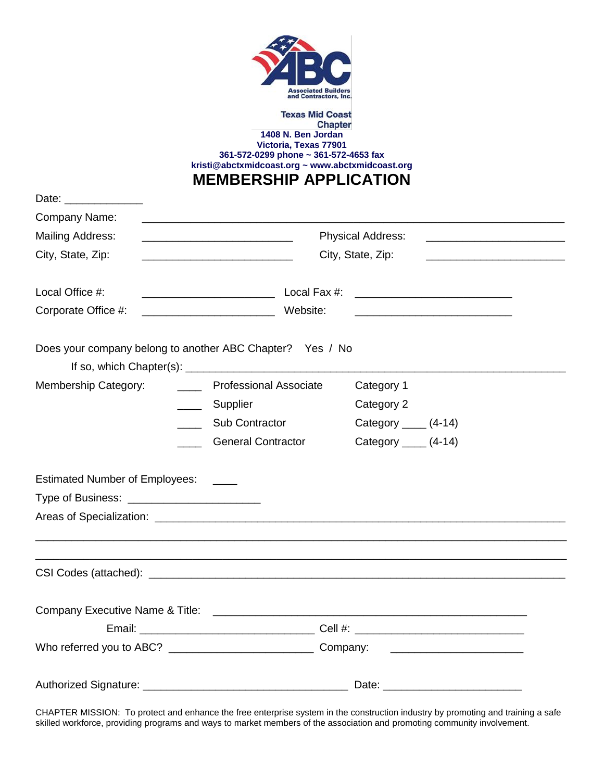

## **Texas Mid Coast Chapter 1408 N. Ben Jordan Victoria, Texas 77901 361-572-0299 phone ~ 361-572-4653 fax [kristi@abctxmidcoast.org](mailto:kristi@abctxmidcoast.org) ~ www.abctxmidcoast.org**

**MEMBERSHIP APPLICATION**

| Date: _______________                                     |                                                                                                                                                                                                                              |                                                                                                     |  |  |  |
|-----------------------------------------------------------|------------------------------------------------------------------------------------------------------------------------------------------------------------------------------------------------------------------------------|-----------------------------------------------------------------------------------------------------|--|--|--|
| Company Name:                                             | <u> 1989 - Johann Harry Harry Harry Harry Harry Harry Harry Harry Harry Harry Harry Harry Harry Harry Harry Harry</u>                                                                                                        | <u> 1989 - Johann Barn, mars an t-Amerikaansk kommunister (</u>                                     |  |  |  |
| <b>Mailing Address:</b>                                   | <b>Physical Address:</b><br><u> 1989 - Johann John Stone, meil er fan de ferske fan de ferske fan de ferske fan de ferske fan de ferske fan d</u><br>City, State, Zip:<br><u> 1989 - John Stein, Amerikaansk politiker (</u> |                                                                                                     |  |  |  |
| City, State, Zip:                                         |                                                                                                                                                                                                                              |                                                                                                     |  |  |  |
| Local Office #:                                           |                                                                                                                                                                                                                              |                                                                                                     |  |  |  |
| Corporate Office #:                                       | Website:<br><u> 2000 - Jan James James Barbara, president politik (</u><br><u> 1989 - Johann John Stone, meil er fan de ferske fan de ferske fan de ferske fan de ferske fan de ferske fan d</u>                             |                                                                                                     |  |  |  |
| Does your company belong to another ABC Chapter? Yes / No |                                                                                                                                                                                                                              |                                                                                                     |  |  |  |
| Membership Category:<br>$\overline{\phantom{a}}$          | <b>Professional Associate</b>                                                                                                                                                                                                | Category 1                                                                                          |  |  |  |
| $\frac{1}{2}$                                             | Supplier                                                                                                                                                                                                                     | Category 2                                                                                          |  |  |  |
|                                                           | Sub Contractor                                                                                                                                                                                                               | Category $\_\_\_\_\$ (4-14)                                                                         |  |  |  |
|                                                           | <b>General Contractor</b>                                                                                                                                                                                                    | Category $\_\_\_\_\$ (4-14)                                                                         |  |  |  |
| Estimated Number of Employees: ____                       |                                                                                                                                                                                                                              |                                                                                                     |  |  |  |
|                                                           |                                                                                                                                                                                                                              |                                                                                                     |  |  |  |
|                                                           |                                                                                                                                                                                                                              | Areas of Specialization: experience and a series of Specialization of the series of Specialization: |  |  |  |
|                                                           |                                                                                                                                                                                                                              |                                                                                                     |  |  |  |
|                                                           |                                                                                                                                                                                                                              |                                                                                                     |  |  |  |
|                                                           |                                                                                                                                                                                                                              |                                                                                                     |  |  |  |
|                                                           |                                                                                                                                                                                                                              |                                                                                                     |  |  |  |
|                                                           |                                                                                                                                                                                                                              |                                                                                                     |  |  |  |

CHAPTER MISSION: To protect and enhance the free enterprise system in the construction industry by promoting and training a safe skilled workforce, providing programs and ways to market members of the association and promoting community involvement.